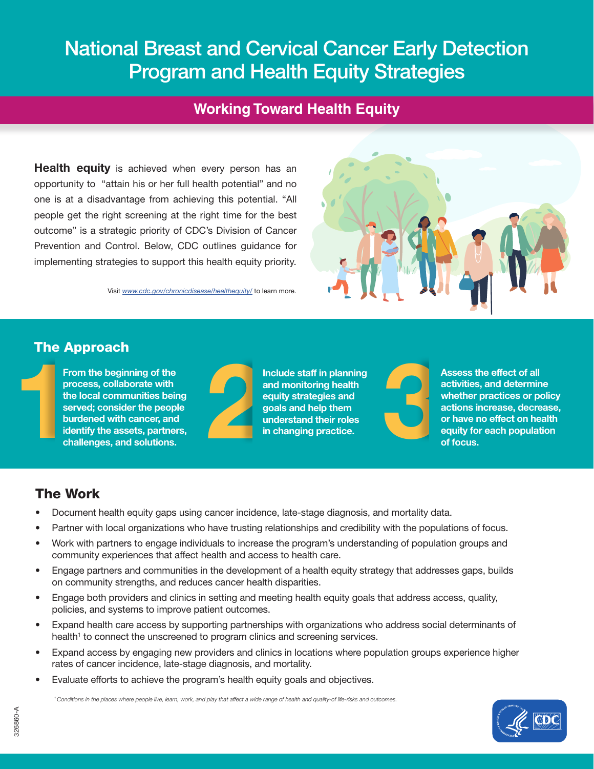# National Breast and Cervical Cancer Early Detection Program and Health Equity Strategies

## **Working Toward Health Equity**

**Health equity** is achieved when every person has an opportunity to "attain his or her full health potential" and no one is at a disadvantage from achieving this potential. "All people get the right screening at the right time for the best outcome" is a strategic priority of CDC's Division of Cancer Prevention and Control. Below, CDC outlines guidance for implementing strategies to support this health equity priority.

Visit *[www.cdc.gov/chronicdisease/healthequity/](https://www.cdc.gov/chronicdisease/healthequity/)* to learn more.



#### The Approach



From the beginning of the process, collaborate with the local communities being served; consider the people burdened with cancer, and identify the assets, partners, challenges, and solutions.



Include staff in planning and monitoring health equity strategies and goals and help them understand their roles Include staff in planning<br>and monitoring health<br>equity strategies and<br>goals and help them<br>understand their roles<br>in changing practice.

Assess the effect of all activities, and determine whether practices or policy actions increase, decrease, or have no effect on health equity for each population of focus.

## The Work

- Document health equity gaps using cancer incidence, late-stage diagnosis, and mortality data.
- Partner with local organizations who have trusting relationships and credibility with the populations of focus.
- Work with partners to engage individuals to increase the program's understanding of population groups and community experiences that affect health and access to health care.
- Engage partners and communities in the development of a health equity strategy that addresses gaps, builds on community strengths, and reduces cancer health disparities.
- Engage both providers and clinics in setting and meeting health equity goals that address access, quality, policies, and systems to improve patient outcomes.
- Expand health care access by supporting partnerships with organizations who address social determinants of health<sup>1</sup> to connect the unscreened to program clinics and screening services.
- Expand access by engaging new providers and clinics in locations where population groups experience higher rates of cancer incidence, late-stage diagnosis, and mortality.
- Evaluate efforts to achieve the program's health equity goals and objectives.

 *1 Conditions in the places where people live, learn, work, and play that affect a wide range of health and quality-of life-risks and outcomes.*